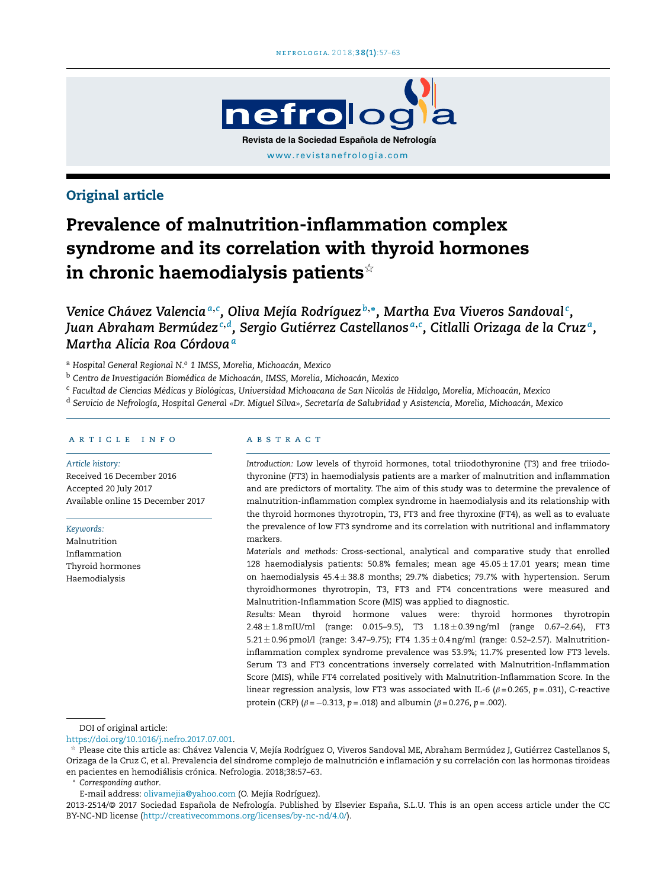

# Original article

# Prevalence of malnutrition-inflammation complex syndrome and its correlation with thyroid hormones in chronic haemodialysis patients $^{\scriptscriptstyle\mathrm{\mathop{\times}}}$

*Venice Chávez Valencia<sup>a</sup>*,*<sup>c</sup> , Oliva Mejía Rodríguez <sup>b</sup>*,<sup>∗</sup> *, Martha Eva Viveros Sandoval <sup>c</sup> ,* Juan Abraham Bermúdez<sup>c,d</sup>, Sergio Gutiérrez Castellanos<sup>a,c</sup>, Citlalli Orizaga de la Cruzª, *Martha Alicia Roa Córdova<sup>a</sup>*

<sup>a</sup> *Hospital General Regional N.<sup>o</sup> 1 IMSS, Morelia, Michoacán, Mexico*

<sup>b</sup> *Centro de Investigación Biomédica de Michoacán, IMSS, Morelia, Michoacán, Mexico*

<sup>c</sup> Facultad de Ciencias Médicas y Biológicas, Universidad Michoacana de San Nicolás de Hidalgo, Morelia, Michoacán, Mexico

<sup>d</sup> Servicio de Nefrología, Hospital General «Dr. Miguel Silva», Secretaría de Salubridad y Asistencia, Morelia, Michoacán, Mexico

#### a r t i c l e i n f o

#### *Article history:*

Received 16 December 2016 Accepted 20 July 2017 Available online 15 December 2017

*Keywords:*

Malnutrition Inflammation Thyroid hormones Haemodialysis

#### a b s t r a c t

*Introduction:* Low levels of thyroid hormones, total triiodothyronine (T3) and free triiodothyronine (FT3) in haemodialysis patients are a marker of malnutrition and inflammation and are predictors of mortality. The aim of this study was to determine the prevalence of malnutrition-inflammation complex syndrome in haemodialysis and its relationship with the thyroid hormones thyrotropin, T3, FT3 and free thyroxine (FT4), as well as to evaluate the prevalence of low FT3 syndrome and its correlation with nutritional and inflammatory markers.

*Materials and methods:* Cross-sectional, analytical and comparative study that enrolled 128 haemodialysis patients: 50.8% females; mean age  $45.05 \pm 17.01$  years; mean time on haemodialysis 45.4 ± 38.8 months; 29.7% diabetics; 79.7% with hypertension. Serum thyroidhormones thyrotropin, T3, FT3 and FT4 concentrations were measured and Malnutrition-Inflammation Score (MIS) was applied to diagnostic.

*Results:* Mean thyroid hormone values were: thyroid hormones thyrotropin  $2.48 \pm 1.8$  mIU/ml (range: 0.015–9.5), T3  $1.18 \pm 0.39$  ng/ml (range 0.67–2.64), FT3 5.21 ± 0.96 pmol/l (range: 3.47–9.75); FT4 1.35 ± 0.4ng/ml (range: 0.52–2.57). Malnutritioninflammation complex syndrome prevalence was 53.9%; 11.7% presented low FT3 levels. Serum T3 and FT3 concentrations inversely correlated with Malnutrition-Inflammation Score (MIS), while FT4 correlated positively with Malnutrition-Inflammation Score. In the linear regression analysis, low FT3 was associated with IL-6 ( $\beta$  = 0.265,  $p$  = .031), C-reactive protein (CRP) ( $\beta = -0.313$ ,  $p = .018$ ) and albumin ( $\beta = 0.276$ ,  $p = .002$ ).

DOI of original article:

[https://doi.org/10.1016/j.nefro.2017.07.001.](https://doi.org/10.1016/j.nefro.2017.07.001)

- Please cite this article as: Chávez Valencia V, Mejía Rodríguez O, Viveros Sandoval ME, Abraham Bermúdez J, Gutiérrez Castellanos S, Orizaga de la Cruz C, et al. Prevalencia del síndrome complejo de malnutrición e inflamación y su correlación con las hormonas tiroideas en pacientes en hemodiálisis crónica. Nefrologia. 2018;38:57–63.

<sup>∗</sup> *Corresponding author*.

E-mail address: [olivamejia@yahoo.com](mailto:olivamejia@yahoo.com) (O. Mejía Rodríguez).

2013-2514/@ 2017 Sociedad Española de Nefrología. Published by Elsevier España, S.L.U. This is an open access article under the CC BY-NC-ND license (<http://creativecommons.org/licenses/by-nc-nd/4.0/>).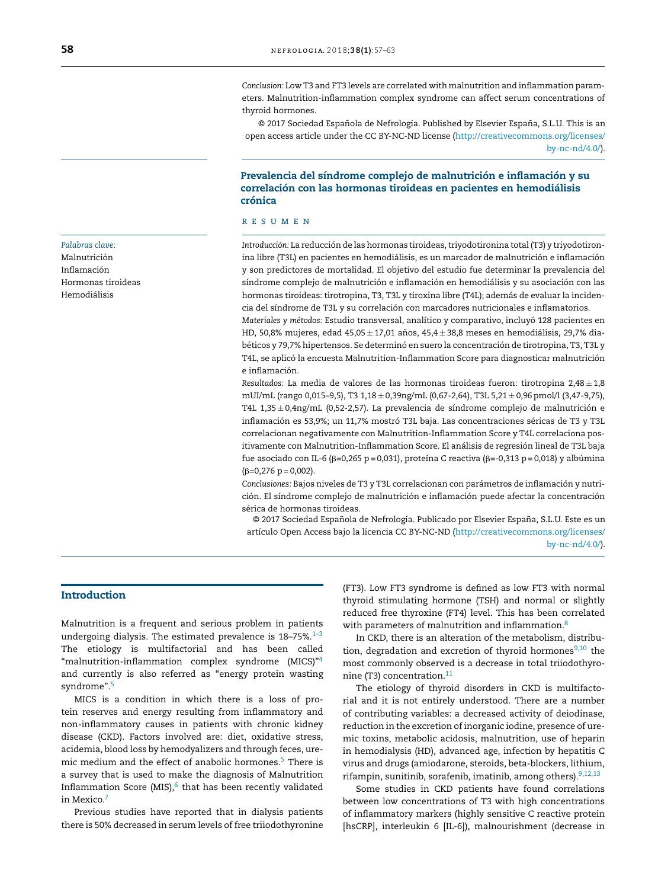*Conclusion:* Low T3 and FT3 levels are correlated with malnutrition and inflammation parameters. Malnutrition-inflammation complex syndrome can affect serum concentrations of thyroid hormones.

© 2017 Sociedad Española de Nefrología. Published by Elsevier España, S.L.U. This is an open access article under the CC BY-NC-ND license [\(http://creativecommons.org/licenses/](http://creativecommons.org/licenses/by-nc-nd/4.0/) [by-nc-nd/4.0/\)](http://creativecommons.org/licenses/by-nc-nd/4.0/).

#### Prevalencia del síndrome complejo de malnutrición e inflamación y su correlación con las hormonas tiroideas en pacientes en hemodiálisis crónica

#### r e s u m e n

Introducción: La reducción de las hormonas tiroideas, triyodotironina total (T3) y triyodotironina libre (T3L) en pacientes en hemodiálisis, es un marcador de malnutrición e inflamación y son predictores de mortalidad. El objetivo del estudio fue determinar la prevalencia del síndrome complejo de malnutrición e inflamación en hemodiálisis y su asociación con las hormonas tiroideas: tirotropina, T3, T3L y tiroxina libre (T4L); además de evaluar la incidencia del síndrome de T3L y su correlación con marcadores nutricionales e inflamatorios.

*Materiales y métodos:* Estudio transversal, analítico y comparativo, incluyó 128 pacientes en HD, 50,8% mujeres, edad 45,05  $\pm$  17,01 años, 45,4  $\pm$  38,8 meses en hemodiálisis, 29,7% diabéticos y 79,7% hipertensos. Se determinó en suero la concentración de tirotropina, T3, T3L y T4L, se aplicó la encuesta Malnutrition-Inflammation Score para diagnosticar malnutrición e inflamación.

*Resultados:* La media de valores de las hormonas tiroideas fueron: tirotropina 2,48 ± 1,8 mUI/mL (rango 0,015–9,5), T3 1,18 ± 0,39ng/mL (0,67-2,64), T3L 5,21 ± 0,96 pmol/l (3,47-9,75), T4L  $1,35 \pm 0,4$ ng/mL (0,52-2,57). La prevalencia de síndrome complejo de malnutrición e inflamación es 53,9%; un 11,7% mostró T3L baja. Las concentraciones séricas de T3 y T3L correlacionan negativamente con Malnutrition-Inflammation Score y T4L correlaciona positivamente con Malnutrition-Inflammation Score. El análisis de regresión lineal de T3L baja fue asociado con IL-6 (β=0,265 p=0,031), proteína C reactiva (β=-0,313 p=0,018) y albúmina  $(\beta=0, 276 \text{ p} = 0,002).$ 

*Conclusiones:* Bajos niveles de T3 y T3L correlacionan con parámetros de inflamación y nutrición. El síndrome complejo de malnutrición e inflamación puede afectar la concentración sérica de hormonas tiroideas.

© 2017 Sociedad Española de Nefrología. Publicado por Elsevier España, S.L.U. Este es un artículo Open Access bajo la licencia CC BY-NC-ND [\(http://creativecommons.org/licenses/](http://creativecommons.org/licenses/by-nc-nd/4.0/) [by-nc-nd/4.0/\)](http://creativecommons.org/licenses/by-nc-nd/4.0/).

# Introduction

Malnutrition is a frequent and serious problem in patients undergoing dialysis. The estimated prevalence is  $18-75\%$ .<sup>1-3</sup> The etiology is multifactorial and has been called "malnutrition-inflammation complex syndrome (MICS)"<sup>[4](#page-5-0)</sup> and currently is also referred as "energy protein wasting syndrome".<sup>[5](#page-5-0)</sup>

MICS is a condition in which there is a loss of protein reserves and energy resulting from inflammatory and non-inflammatory causes in patients with chronic kidney disease (CKD). Factors involved are: diet, oxidative stress, acidemia, blood loss by hemodyalizers and through feces, ure-mic medium and the effect of anabolic hormones.<sup>[5](#page-5-0)</sup> There is a survey that is used to make the diagnosis of Malnutrition Inflammation Score (MIS), $^{\rm 6}$  $^{\rm 6}$  $^{\rm 6}$  that has been recently validated in Mexico.[7](#page-6-0)

Previous studies have reported that in dialysis patients there is 50% decreased in serum levels of free triiodothyronine (FT3). Low FT3 syndrome is defined as low FT3 with normal thyroid stimulating hormone (TSH) and normal or slightly reduced free thyroxine (FT4) level. This has been correlated with parameters of malnutrition and inflammation.<sup>[8](#page-6-0)</sup>

In CKD, there is an alteration of the metabolism, distribution, degradation and excretion of thyroid hormones $9,10$  the most commonly observed is a decrease in total triiodothyronine (T3) concentration. $11$ 

The etiology of thyroid disorders in CKD is multifactorial and it is not entirely understood. There are a number of contributing variables: a decreased activity of deiodinase, reduction in the excretion of inorganic iodine, presence of uremic toxins, metabolic acidosis, malnutrition, use of heparin in hemodialysis (HD), advanced age, infection by hepatitis C virus and drugs (amiodarone, steroids, beta-blockers, lithium, rifampin, sunitinib, sorafenib, imatinib, among others) $9,12,13$ 

Some studies in CKD patients have found correlations between low concentrations of T3 with high concentrations of inflammatory markers (highly sensitive C reactive protein [hsCRP], interleukin 6 [IL-6]), malnourishment (decrease in

*Palabras clave:* Malnutrición Inflamación Hormonas tiroideas Hemodiálisis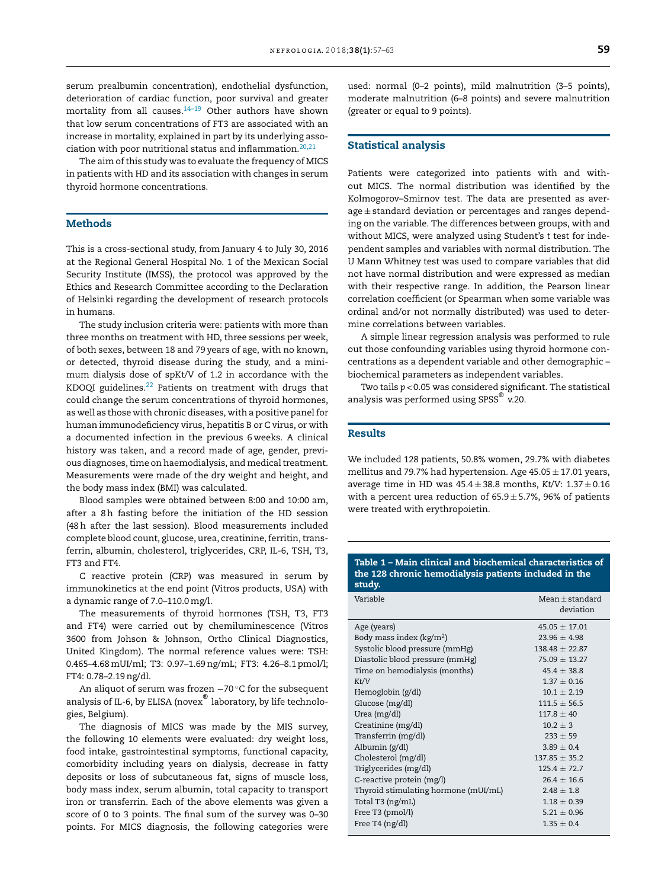<span id="page-2-0"></span>serum prealbumin concentration), endothelial dysfunction, deterioration of cardiac function, poor survival and greater mortality from all causes.<sup>[14–19](#page-6-0)</sup> Other authors have shown that low serum concentrations of FT3 are associated with an increase in mortality, explained in part by its underlying asso-ciation with poor nutritional status and inflammation.<sup>[20,21](#page-6-0)</sup>

The aim of this study was to evaluate the frequency of MICS in patients with HD and its association with changes in serum thyroid hormone concentrations.

#### **Methods**

This is a cross-sectional study, from January 4 to July 30, 2016 at the Regional General Hospital No. 1 of the Mexican Social Security Institute (IMSS), the protocol was approved by the Ethics and Research Committee according to the Declaration of Helsinki regarding the development of research protocols in humans.

The study inclusion criteria were: patients with more than three months on treatment with HD, three sessions per week, of both sexes, between 18 and 79 years of age, with no known, or detected, thyroid disease during the study, and a minimum dialysis dose of spKt/V of 1.2 in accordance with the KDOQI guidelines.<sup>[22](#page-6-0)</sup> Patients on treatment with drugs that could change the serum concentrations of thyroid hormones, as well as those with chronic diseases, with a positive panelfor human immunodeficiency virus, hepatitis B or C virus, or with a documented infection in the previous 6 weeks. A clinical history was taken, and a record made of age, gender, previous diagnoses, time on haemodialysis, and medical treatment. Measurements were made of the dry weight and height, and the body mass index (BMI) was calculated.

Blood samples were obtained between 8:00 and 10:00 am, after a 8h fasting before the initiation of the HD session (48h after the last session). Blood measurements included complete blood count, glucose, urea, creatinine, ferritin, transferrin, albumin, cholesterol, triglycerides, CRP, IL-6, TSH, T3, FT3 and FT4.

C reactive protein (CRP) was measured in serum by immunokinetics at the end point (Vitros products, USA) with a dynamic range of 7.0–110.0mg/l.

The measurements of thyroid hormones (TSH, T3, FT3 and FT4) were carried out by chemiluminescence (Vitros 3600 from Johson & Johnson, Ortho Clinical Diagnostics, United Kingdom). The normal reference values were: TSH: 0.465–4.68mUI/ml; T3: 0.97–1.69ng/mL; FT3: 4.26–8.1 pmol/l; FT4: 0.78–2.19ng/dl.

An aliquot of serum was frozen −70 °C for the subsequent analysis of IL-6, by ELISA (novex $^\circledR$  laboratory, by life technologies, Belgium).

The diagnosis of MICS was made by the MIS survey, the following 10 elements were evaluated: dry weight loss, food intake, gastrointestinal symptoms, functional capacity, comorbidity including years on dialysis, decrease in fatty deposits or loss of subcutaneous fat, signs of muscle loss, body mass index, serum albumin, total capacity to transport iron or transferrin. Each of the above elements was given a score of 0 to 3 points. The final sum of the survey was 0–30 points. For MICS diagnosis, the following categories were used: normal (0–2 points), mild malnutrition (3–5 points), moderate malnutrition (6–8 points) and severe malnutrition (greater or equal to 9 points).

#### Statistical analysis

Patients were categorized into patients with and without MICS. The normal distribution was identified by the Kolmogorov–Smirnov test. The data are presented as aver $age \pm standard$  deviation or percentages and ranges depending on the variable. The differences between groups, with and without MICS, were analyzed using Student's *t* test for independent samples and variables with normal distribution. The U Mann Whitney test was used to compare variables that did not have normal distribution and were expressed as median with their respective range. In addition, the Pearson linear correlation coefficient (or Spearman when some variable was ordinal and/or not normally distributed) was used to determine correlations between variables.

A simple linear regression analysis was performed to rule out those confounding variables using thyroid hormone concentrations as a dependent variable and other demographic – biochemical parameters as independent variables.

Two tails *p* < 0.05 was considered significant. The statistical analysis was performed using SPSS $^\circ$  v.20.

## Results

We included 128 patients, 50.8% women, 29.7% with diabetes mellitus and 79.7% had hypertension. Age  $45.05 \pm 17.01$  years, average time in HD was 45.4 ± 38.8 months, *Kt*/*V*: 1.37 ± 0.16 with a percent urea reduction of  $65.9 \pm 5.7$ %, 96% of patients were treated with erythropoietin.

#### Table 1 – Main clinical and biochemical characteristics of the 128 chronic hemodialysis patients included in the study.

| Variable                             | $Mean + standard$<br>deviation |
|--------------------------------------|--------------------------------|
| Age (years)                          | $45.05 + 17.01$                |
| Body mass index ( $kg/m2$ )          | $23.96 + 4.98$                 |
| Systolic blood pressure (mmHg)       | $138.48 \pm 22.87$             |
| Diastolic blood pressure (mmHg)      | $75.09 \pm 13.27$              |
| Time on hemodialysis (months)        | $45.4 + 38.8$                  |
| Kt/V                                 | $1.37 + 0.16$                  |
| Hemoglobin (g/dl)                    | $10.1 + 2.19$                  |
| Glucose (mg/dl)                      | $111.5 + 56.5$                 |
| Urea (mg/dl)                         | $117.8 + 40$                   |
| Creatinine (mg/dl)                   | $10.2 + 3$                     |
| Transferrin (mg/dl)                  | $233 \pm 59$                   |
| Albumin (g/dl)                       | $3.89 + 0.4$                   |
| Cholesterol (mg/dl)                  | $137.85 + 35.2$                |
| Triglycerides (mg/dl)                | $125.4 + 72.7$                 |
| C-reactive protein (mg/l)            | $26.4 + 16.6$                  |
| Thyroid stimulating hormone (mUI/mL) | $2.48 + 1.8$                   |
| Total T3 (ng/mL)                     | $1.18 \pm 0.39$                |
| Free T3 (pmol/l)                     | $5.21 + 0.96$                  |
| Free T4 (ng/dl)                      | $1.35 + 0.4$                   |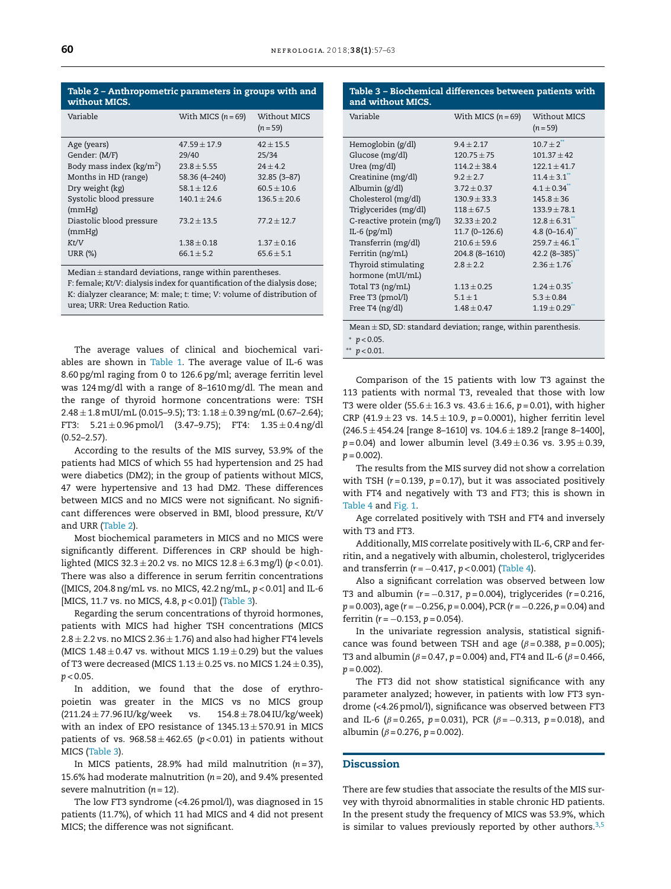| With MICS $(n=69)$ | Without MICS<br>$(n = 59)$ |
|--------------------|----------------------------|
| $47.59 + 17.9$     | $42 + 15.5$                |
| 29/40              | 25/34                      |
| $23.8 \pm 5.55$    | $24 + 4.2$                 |
| 58.36 (4-240)      | $32.85(3-87)$              |
| $58.1 \pm 12.6$    | $60.5 \pm 10.6$            |
| $140.1 + 24.6$     | $136.5 + 20.6$             |
|                    |                            |
| $73.2 + 13.5$      | $77.2 + 12.7$              |
|                    |                            |
| $1.38 \pm 0.18$    | $1.37 \pm 0.16$            |
| $66.1 + 5.2$       | $65.6 + 5.1$               |
|                    |                            |

Median  $\pm$  standard deviations, range within parentheses.

F: female; *Kt*/*V*: dialysis index for quantification of the dialysis dose; K: dialyzer clearance; M: male; *t*: time; *V*: volume of distribution of urea; URR: Urea Reduction Ratio.

The average values of clinical and biochemical variables are shown in [Table](#page-2-0) 1. The average value of IL-6 was 8.60 pg/ml raging from 0 to 126.6 pg/ml; average ferritin level was 124mg/dl with a range of 8–1610mg/dl. The mean and the range of thyroid hormone concentrations were: TSH  $2.48 \pm 1.8$  mUI/mL (0.015–9.5); T3:  $1.18 \pm 0.39$  ng/mL (0.67–2.64); FT3:  $5.21 \pm 0.96$  pmol/l  $(3.47-9.75)$ ; FT4:  $1.35 \pm 0.4$  ng/dl (0.52–2.57).

According to the results of the MIS survey, 53.9% of the patients had MICS of which 55 had hypertension and 25 had were diabetics (DM2); in the group of patients without MICS, 47 were hypertensive and 13 had DM2. These differences between MICS and no MICS were not significant. No significant differences were observed in BMI, blood pressure, *Kt*/*V* and URR (Table 2).

Most biochemical parameters in MICS and no MICS were significantly different. Differences in CRP should be highlighted (MICS 32.3 ± 20.2 vs. no MICS 12.8 ± 6.3mg/l) (*p* < 0.01). There was also a difference in serum ferritin concentrations ([MICS, 204.8ng/mL vs. no MICS, 42.2ng/mL, *p* < 0.01] and IL-6 [MICS, 11.7 vs. no MICS, 4.8, *p* < 0.01]) (Table 3).

Regarding the serum concentrations of thyroid hormones, patients with MICS had higher TSH concentrations (MICS  $2.8 \pm 2.2$  vs. no MICS 2.36  $\pm$  1.76) and also had higher FT4 levels (MICS  $1.48 \pm 0.47$  vs. without MICS  $1.19 \pm 0.29$ ) but the values of T3 were decreased (MICS  $1.13 \pm 0.25$  vs. no MICS  $1.24 \pm 0.35$ ),  $p < 0.05$ .

In addition, we found that the dose of erythropoietin was greater in the MICS vs no MICS group  $(211.24 \pm 77.96$  IU/kg/week vs.  $154.8 \pm 78.04$  IU/kg/week) with an index of EPO resistance of  $1345.13 \pm 570.91$  in MICS patients of vs.  $968.58 \pm 462.65$  ( $p < 0.01$ ) in patients without MICS (Table 3).

In MICS patients, 28.9% had mild malnutrition (*n* = 37), 15.6% had moderate malnutrition (*n* = 20), and 9.4% presented severe malnutrition (*n* = 12).

The low FT3 syndrome (<4.26 pmol/l), was diagnosed in 15 patients (11.7%), of which 11 had MICS and 4 did not present MICS; the difference was not significant.

# Table 3 – Biochemical differences between patients with and without MICS.

| Variable                                                          | With MICS $(n=69)$ | Without MICS<br>$(n = 59)$ |  |  |  |  |
|-------------------------------------------------------------------|--------------------|----------------------------|--|--|--|--|
| Hemoglobin (g/dl)                                                 | $9.4 + 2.17$       | $10.7 + 2$                 |  |  |  |  |
| Glucose (mg/dl)                                                   | $120.75 \pm 75$    | $101.37 \pm 42$            |  |  |  |  |
| Urea (mg/dl)                                                      | $114.2 \pm 38.4$   | $122.1 \pm 41.7$           |  |  |  |  |
| Creatinine (mg/dl)                                                | $9.2 \pm 2.7$      | $11.4 \pm 3.1$             |  |  |  |  |
| Albumin (g/dl)                                                    | $3.72 \pm 0.37$    | $4.1 \pm 0.34$             |  |  |  |  |
| Cholesterol (mg/dl)                                               | $130.9 \pm 33.3$   | $145.8 \pm 36$             |  |  |  |  |
| Triglycerides (mg/dl)                                             | $118 \pm 67.5$     | $133.9 \pm 78.1$           |  |  |  |  |
| C-reactive protein (mg/l)                                         | $32.33 \pm 20.2$   | $12.8 \pm 6.31$            |  |  |  |  |
| IL-6 $(pg/ml)$                                                    | 11.7 (0-126.6)     | 4.8 $(0-16.4)$             |  |  |  |  |
| Transferrin (mg/dl)                                               | $210.6 \pm 59.6$   | $259.7 + 46.1$             |  |  |  |  |
| Ferritin (ng/mL)                                                  | 204.8 (8-1610)     | $42.2(8-385)$              |  |  |  |  |
| Thyroid stimulating                                               | $2.8 \pm 2.2$      | $2.36 \pm 1.76$            |  |  |  |  |
| hormone (mUI/mL)                                                  |                    |                            |  |  |  |  |
| Total T3 (ng/mL)                                                  | $1.13 \pm 0.25$    | $1.24 \pm 0.35$            |  |  |  |  |
| Free T3 (pmol/l)                                                  | $5.1 \pm 1$        | $5.3 \pm 0.84$             |  |  |  |  |
| Free T4 (ng/dl)                                                   | $1.48 \pm 0.47$    | $1.19 \pm 0.29$            |  |  |  |  |
| Mean $\pm$ SD, SD: standard deviation; range, within parenthesis. |                    |                            |  |  |  |  |

<sup>∗</sup> *p* < 0.05.

 $p$  < 0.01.

Comparison of the 15 patients with low T3 against the 113 patients with normal T3, revealed that those with low T3 were older (55.6 ± 16.3 vs. 43.6 ± 16.6, *p* = 0.01), with higher CRP (41.9  $\pm$  23 vs. 14.5  $\pm$  10.9,  $p$  = 0.0001), higher ferritin level  $(246.5 \pm 454.24$  [range 8-1610] vs.  $104.6 \pm 189.2$  [range 8-1400],  $p = 0.04$ ) and lower albumin level  $(3.49 \pm 0.36$  vs.  $3.95 \pm 0.39$ ,  $p = 0.002$ ).

The results from the MIS survey did not show a correlation with TSH ( $r = 0.139$ ,  $p = 0.17$ ), but it was associated positively with FT4 and negatively with T3 and FT3; this is shown in [Table](#page-4-0) 4 and [Fig.](#page-5-0) 1.

Age correlated positively with TSH and FT4 and inversely with T3 and FT3.

Additionally, MIS correlate positively with IL-6, CRP and ferritin, and a negatively with albumin, cholesterol, triglycerides and transferrin (*r* = −0.417, *p* < 0.001) ([Table](#page-4-0) 4).

Also a significant correlation was observed between low T3 and albumin (*r* = −0.317, *p* = 0.004), triglycerides (*r* = 0.216, *p* = 0.003), age (*r* = −0.256, *p* = 0.004), PCR (*r* = −0.226, *p* = 0.04) and ferritin (*r* = −0.153, *p* = 0.054).

In the univariate regression analysis, statistical significance was found between TSH and age  $(\beta = 0.388, p = 0.005)$ ; T3 and albumin ( $\beta$  = 0.47,  $p$  = 0.004) and, FT4 and IL-6 ( $\beta$  = 0.466,  $p = 0.002$ ).

The FT3 did not show statistical significance with any parameter analyzed; however, in patients with low FT3 syndrome (<4.26 pmol/l), significance was observed between FT3 and IL-6 ( $\beta$  = 0.265,  $p$  = 0.031), PCR ( $\beta$  = -0.313,  $p$  = 0.018), and albumin ( $\beta$  = 0.276,  $p$  = 0.002).

# **Discussion**

There are few studies that associate the results of the MIS survey with thyroid abnormalities in stable chronic HD patients. In the present study the frequency of MICS was 53.9%, which is similar to values previously reported by other authors.<sup>[3,5](#page-5-0)</sup>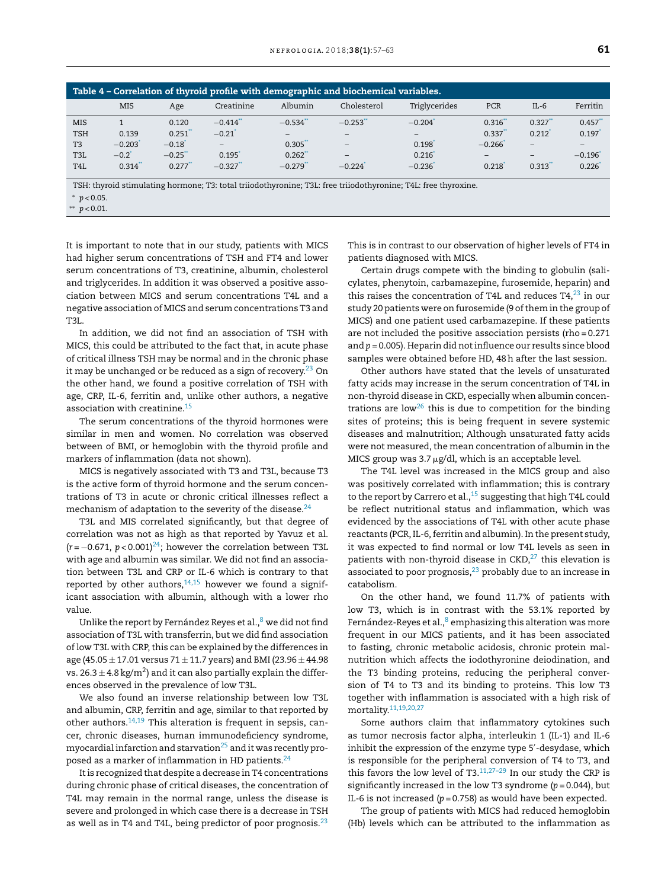<span id="page-4-0"></span>

| Table 4 – Correlation of thyroid profile with demographic and biochemical variables. |                       |         |                          |                        |                       |                       |                              |                          |          |
|--------------------------------------------------------------------------------------|-----------------------|---------|--------------------------|------------------------|-----------------------|-----------------------|------------------------------|--------------------------|----------|
|                                                                                      | MIS                   | Age     | Creatinine               | Albumin                | Cholesterol           | Triglycerides         | PCR                          | $IL-6$                   | Ferritin |
| <b>MIS</b>                                                                           |                       | 0.120   | $-0.414$ <sup>**</sup>   | $-0.534$ <sup>*</sup>  | $-0.253$ <sup>*</sup> | $-0.204$ <sup>*</sup> | 0.316'                       | $0.327$ <sup>*</sup>     | 0.457    |
| <b>TSH</b>                                                                           | 0.139                 | 0.251   | $-0.21$                  | $\qquad \qquad -$      | $\qquad \qquad -$     |                       | 0.337                        | 0.212                    | 0.197    |
| T <sub>3</sub>                                                                       | $-0.203$ <sup>*</sup> | $-0.18$ | $\overline{\phantom{0}}$ | 0.305                  | $\qquad \qquad -$     | 0.198                 | $-0.266$                     | $\overline{\phantom{0}}$ | -        |
| T <sub>3</sub> L                                                                     | $-0.2^{\degree}$      | $-0.25$ | 0.195                    | 0.262                  | $\qquad \qquad -$     | 0.216                 | $\qquad \qquad \blacksquare$ | $\overline{\phantom{0}}$ | $-0.196$ |
| T <sub>4</sub> L                                                                     | 0.314                 | 0.277   | $-0.327$                 | $-0.279$ <sup>**</sup> | $-0.224$              | $-0.236$              | 0.218                        | 0.313                    | 0.226    |

TSH: thyroid stimulating hormone; T3: total triiodothyronine; T3L: free triiodothyronine; T4L: free thyroxine.

\*  $p < 0.05$ .

\*\*  $p < 0.01$ .

It is important to note that in our study, patients with MICS had higher serum concentrations of TSH and FT4 and lower serum concentrations of T3, creatinine, albumin, cholesterol and triglycerides. In addition it was observed a positive association between MICS and serum concentrations T4L and a negative association of MICS and serum concentrations T3 and **T3I.** 

In addition, we did not find an association of TSH with MICS, this could be attributed to the fact that, in acute phase of critical illness TSH may be normal and in the chronic phase it may be unchanged or be reduced as a sign of recovery.<sup>23</sup> On the other hand, we found a positive correlation of TSH with age, CRP, IL-6, ferritin and, unlike other authors, a negative association with creatinine.<sup>15</sup>

The serum concentrations of the thyroid hormones were similar in men and women. No correlation was observed between of BMI, or hemoglobin with the thyroid profile and markers of inflammation (data not shown).

MICS is negatively associated with T3 and T3L, because T3 is the active form of thyroid hormone and the serum concentrations of T3 in acute or chronic critical illnesses reflect a mechanism of adaptation to the severity of the disease.<sup>24</sup>

T3L and MIS correlated significantly, but that degree of correlation was not as high as that reported by Yavuz et al.  $(r = -0.671, p < 0.001)^{24}$ ; however the correlation between T3L with age and albumin was similar. We did not find an association between T3L and CRP or IL-6 which is contrary to that reported by other authors,  $14,15$  however we found a significant association with albumin, although with a lower rho value.

Unlike the report by Fernández Reyes et al.,<sup>8</sup> we did not find association of T3L with transferrin, but we did find association of low T3L with CRP, this can be explained by the differences in age (45.05  $\pm$  17.01 versus 71  $\pm$  11.7 years) and BMI (23.96  $\pm$  44.98 vs. 26.3  $\pm$  4.8 kg/m<sup>2</sup>) and it can also partially explain the differences observed in the prevalence of low T3L.

We also found an inverse relationship between low T3L and albumin, CRP, ferritin and age, similar to that reported by other authors.  $14,19$  This alteration is frequent in sepsis, cancer, chronic diseases, human immunodeficiency syndrome, myocardial infarction and starvation $^{25}$  and it was recently proposed as a marker of inflammation in HD patients.<sup>24</sup>

It is recognized that despite a decrease in T4 concentrations during chronic phase of critical diseases, the concentration of T4L may remain in the normal range, unless the disease is severe and prolonged in which case there is a decrease in TSH as well as in T4 and T4L, being predictor of poor prognosis. $^{23}$  This is in contrast to our observation of higher levels of FT4 in patients diagnosed with MICS.

Certain drugs compete with the binding to globulin (salicylates, phenytoin, carbamazepine, furosemide, heparin) and this raises the concentration of T4L and reduces T4, $^{23}$  in our study 20 patients were on furosemide (9 of them in the group of MICS) and one patient used carbamazepine. If these patients are not included the positive association persists (rho = 0.271 and  $p = 0.005$ ). Heparin did not influence our results since blood samples were obtained before HD, 48 h after the last session.

Other authors have stated that the levels of unsaturated fatty acids may increase in the serum concentration of T4L in non-thyroid disease in CKD, especially when albumin concentrations are low<sup>26</sup> this is due to competition for the binding sites of proteins; this is being frequent in severe systemic diseases and malnutrition; Although unsaturated fatty acids were not measured, the mean concentration of albumin in the MICS group was  $3.7 \mu g/dl$ , which is an acceptable level.

The T4L level was increased in the MICS group and also was positively correlated with inflammation; this is contrary to the report by Carrero et al.,<sup>15</sup> suggesting that high T4L could be reflect nutritional status and inflammation, which was evidenced by the associations of T4L with other acute phase reactants (PCR, IL-6, ferritin and albumin). In the present study, it was expected to find normal or low T4L levels as seen in patients with non-thyroid disease in  $CKD<sub>1</sub><sup>27</sup>$  this elevation is associated to poor prognosis, $23$  probably due to an increase in catabolism.

On the other hand, we found 11.7% of patients with low T3, which is in contrast with the 53.1% reported by Fernández-Reyes et al.,<sup>8</sup> emphasizing this alteration was more frequent in our MICS patients, and it has been associated to fasting, chronic metabolic acidosis, chronic protein malnutrition which affects the iodothyronine deiodination, and the T3 binding proteins, reducing the peripheral conversion of T4 to T3 and its binding to proteins. This low T3 together with inflammation is associated with a high risk of mortality.<sup>11,19,20,27</sup>

Some authors claim that inflammatory cytokines such as tumor necrosis factor alpha, interleukin 1 (IL-1) and IL-6 inhibit the expression of the enzyme type 5'-desydase, which is responsible for the peripheral conversion of T4 to T3, and this favors the low level of  $T3$ .<sup>11,27-29</sup> In our study the CRP is significantly increased in the low T3 syndrome ( $p = 0.044$ ), but IL-6 is not increased ( $p = 0.758$ ) as would have been expected.

The group of patients with MICS had reduced hemoglobin (Hb) levels which can be attributed to the inflammation as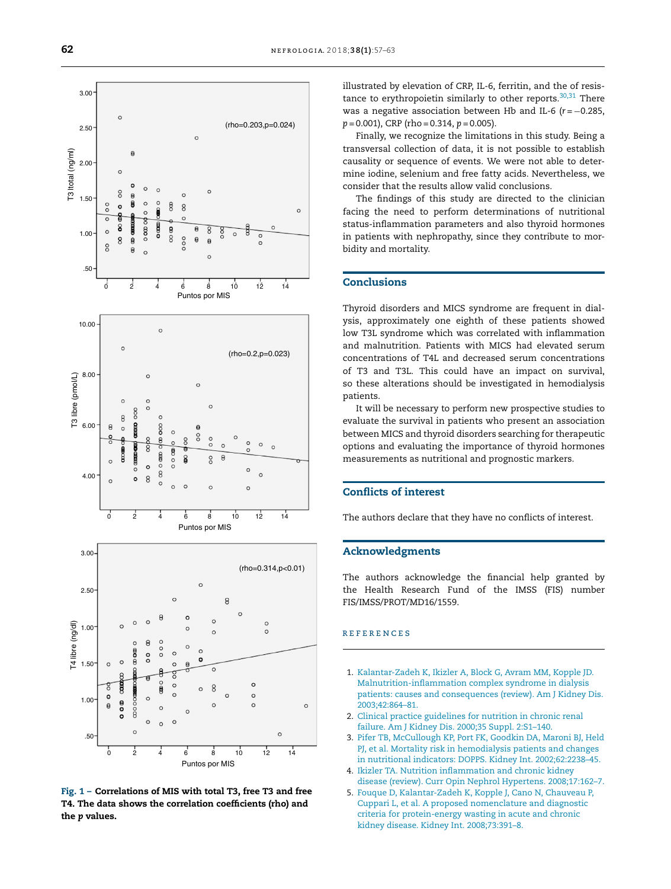<span id="page-5-0"></span>

Fig. 1 - Correlations of MIS with total T3, free T3 and free T4. The data shows the correlation coefficients (rho) and the p values.

illustrated by elevation of CRP, IL-6, ferritin, and the of resistance to erythropoietin similarly to other reports.<sup>30,31</sup> There was a negative association between Hb and IL-6 ( $r = -0.285$ ).  $p = 0.001$ , CRP (rho = 0.314,  $p = 0.005$ ).

Finally, we recognize the limitations in this study. Being a transversal collection of data, it is not possible to establish causality or sequence of events. We were not able to determine iodine, selenium and free fatty acids. Nevertheless, we consider that the results allow valid conclusions.

The findings of this study are directed to the clinician facing the need to perform determinations of nutritional status-inflammation parameters and also thyroid hormones in patients with nephropathy, since they contribute to morbidity and mortality.

# **Conclusions**

Thyroid disorders and MICS syndrome are frequent in dialysis, approximately one eighth of these patients showed low T3L syndrome which was correlated with inflammation and malnutrition. Patients with MICS had elevated serum concentrations of T4L and decreased serum concentrations of T3 and T3L. This could have an impact on survival, so these alterations should be investigated in hemodialysis patients.

It will be necessary to perform new prospective studies to evaluate the survival in patients who present an association between MICS and thyroid disorders searching for therapeutic options and evaluating the importance of thyroid hormones measurements as nutritional and prognostic markers.

### **Conflicts of interest**

The authors declare that they have no conflicts of interest.

#### **Acknowledgments**

The authors acknowledge the financial help granted by the Health Research Fund of the IMSS (FIS) number FIS/IMSS/PROT/MD16/1559.

#### **REFERENCES**

- 1. Kalantar-Zadeh K, Ikizler A, Block G, Avram MM, Kopple JD. Malnutrition-inflammation complex syndrome in dialysis patients: causes and consequences (review). Am J Kidney Dis. 2003;42:864-81.
- 2. Clinical practice guidelines for nutrition in chronic renal failure. Am J Kidney Dis. 2000;35 Suppl. 2:S1-140.
- 3. Pifer TB, McCullough KP, Port FK, Goodkin DA, Maroni BJ, Held PJ, et al. Mortality risk in hemodialysis patients and changes in nutritional indicators: DOPPS. Kidney Int. 2002;62:2238-45.
- 4. Ikizler TA. Nutrition inflammation and chronic kidney disease (review). Curr Opin Nephrol Hypertens. 2008;17:162-7.
- 5. Fouque D, Kalantar-Zadeh K, Kopple J, Cano N, Chauveau P, Cuppari L, et al. A proposed nomenclature and diagnostic criteria for protein-energy wasting in acute and chronic kidney disease. Kidney Int. 2008;73:391-8.